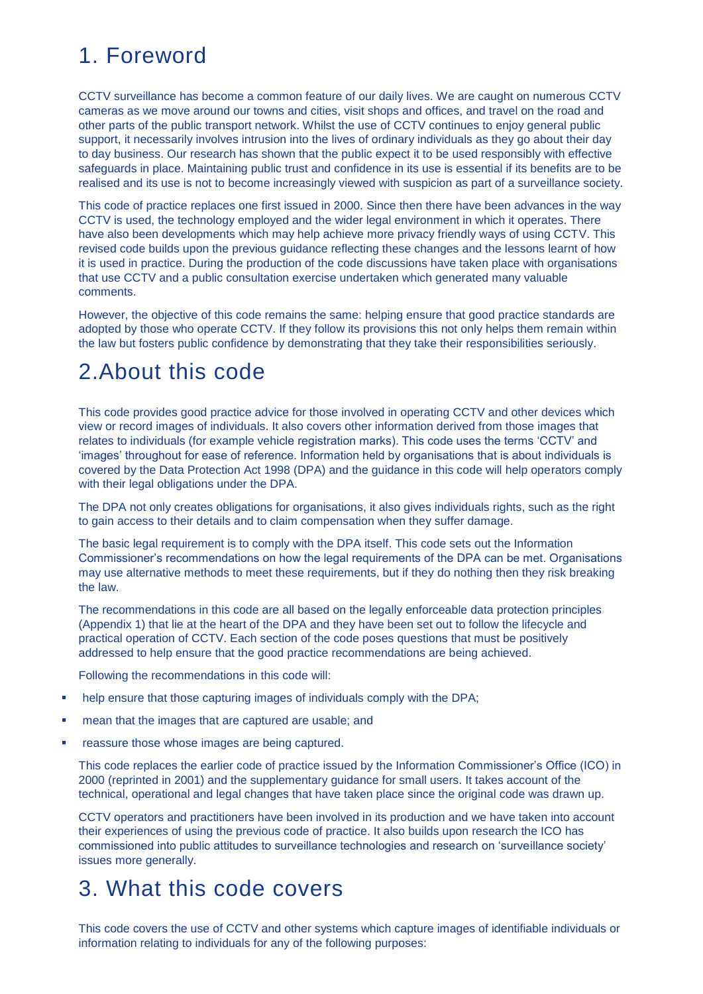# 1. Foreword

CCTV surveillance has become a common feature of our daily lives. We are caught on numerous CCTV cameras as we move around our towns and cities, visit shops and offices, and travel on the road and other parts of the public transport network. Whilst the use of CCTV continues to enjoy general public support, it necessarily involves intrusion into the lives of ordinary individuals as they go about their day to day business. Our research has shown that the public expect it to be used responsibly with effective safeguards in place. Maintaining public trust and confidence in its use is essential if its benefits are to be realised and its use is not to become increasingly viewed with suspicion as part of a surveillance society.

This code of practice replaces one first issued in 2000. Since then there have been advances in the way CCTV is used, the technology employed and the wider legal environment in which it operates. There have also been developments which may help achieve more privacy friendly ways of using CCTV. This revised code builds upon the previous guidance reflecting these changes and the lessons learnt of how it is used in practice. During the production of the code discussions have taken place with organisations that use CCTV and a public consultation exercise undertaken which generated many valuable comments.

However, the objective of this code remains the same: helping ensure that good practice standards are adopted by those who operate CCTV. If they follow its provisions this not only helps them remain within the law but fosters public confidence by demonstrating that they take their responsibilities seriously.

# 2.About this code

This code provides good practice advice for those involved in operating CCTV and other devices which view or record images of individuals. It also covers other information derived from those images that relates to individuals (for example vehicle registration marks). This code uses the terms 'CCTV' and 'images' throughout for ease of reference. Information held by organisations that is about individuals is covered by the Data Protection Act 1998 (DPA) and the guidance in this code will help operators comply with their legal obligations under the DPA.

The DPA not only creates obligations for organisations, it also gives individuals rights, such as the right to gain access to their details and to claim compensation when they suffer damage.

The basic legal requirement is to comply with the DPA itself. This code sets out the Information Commissioner's recommendations on how the legal requirements of the DPA can be met. Organisations may use alternative methods to meet these requirements, but if they do nothing then they risk breaking the law.

The recommendations in this code are all based on the legally enforceable data protection principles (Appendix 1) that lie at the heart of the DPA and they have been set out to follow the lifecycle and practical operation of CCTV. Each section of the code poses questions that must be positively addressed to help ensure that the good practice recommendations are being achieved.

Following the recommendations in this code will:

- help ensure that those capturing images of individuals comply with the DPA;
- mean that the images that are captured are usable; and
- reassure those whose images are being captured.

This code replaces the earlier code of practice issued by the Information Commissioner's Office (ICO) in 2000 (reprinted in 2001) and the supplementary guidance for small users. It takes account of the technical, operational and legal changes that have taken place since the original code was drawn up.

CCTV operators and practitioners have been involved in its production and we have taken into account their experiences of using the previous code of practice. It also builds upon research the ICO has commissioned into public attitudes to surveillance technologies and research on 'surveillance society' issues more generally.

## 3. What this code covers

This code covers the use of CCTV and other systems which capture images of identifiable individuals or information relating to individuals for any of the following purposes: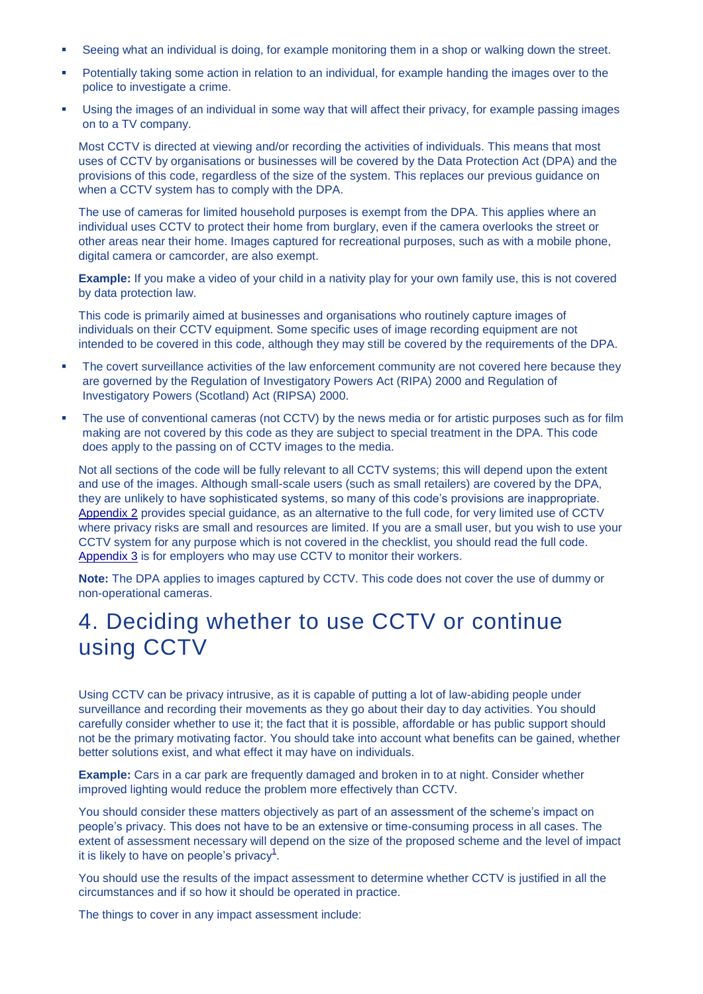- Seeing what an individual is doing, for example monitoring them in a shop or walking down the street.
- Potentially taking some action in relation to an individual, for example handing the images over to the police to investigate a crime.
- Using the images of an individual in some way that will affect their privacy, for example passing images on to a TV company.

Most CCTV is directed at viewing and/or recording the activities of individuals. This means that most uses of CCTV by organisations or businesses will be covered by the Data Protection Act (DPA) and the provisions of this code, regardless of the size of the system. This replaces our previous guidance on when a CCTV system has to comply with the DPA.

The use of cameras for limited household purposes is exempt from the DPA. This applies where an individual uses CCTV to protect their home from burglary, even if the camera overlooks the street or other areas near their home. Images captured for recreational purposes, such as with a mobile phone, digital camera or camcorder, are also exempt.

**Example:** If you make a video of your child in a nativity play for your own family use, this is not covered by data protection law.

This code is primarily aimed at businesses and organisations who routinely capture images of individuals on their CCTV equipment. Some specific uses of image recording equipment are not intended to be covered in this code, although they may still be covered by the requirements of the DPA.

- The covert surveillance activities of the law enforcement community are not covered here because they are governed by the Regulation of Investigatory Powers Act (RIPA) 2000 and Regulation of Investigatory Powers (Scotland) Act (RIPSA) 2000.
- The use of conventional cameras (not CCTV) by the news media or for artistic purposes such as for film making are not covered by this code as they are subject to special treatment in the DPA. This code does apply to the passing on of CCTV images to the media.

Not all sections of the code will be fully relevant to all CCTV systems; this will depend upon the extent and use of the images. Although small-scale users (such as small retailers) are covered by the DPA, they are unlikely to have sophisticated systems, so many of this code's provisions are inappropriate. [Appendix 2](http://www.ico.gov.uk/upload/documents/cctv_code_of_practice_html/appendix2.html) provides special guidance, as an alternative to the full code, for very limited use of CCTV where privacy risks are small and resources are limited. If you are a small user, but you wish to use your CCTV system for any purpose which is not covered in the checklist, you should read the full code. [Appendix 3](http://www.ico.gov.uk/upload/documents/cctv_code_of_practice_html/appendix3.html) is for employers who may use CCTV to monitor their workers.

**Note:** The DPA applies to images captured by CCTV. This code does not cover the use of dummy or non-operational cameras.

## 4. Deciding whether to use CCTV or continue using CCTV

Using CCTV can be privacy intrusive, as it is capable of putting a lot of law-abiding people under surveillance and recording their movements as they go about their day to day activities. You should carefully consider whether to use it; the fact that it is possible, affordable or has public support should not be the primary motivating factor. You should take into account what benefits can be gained, whether better solutions exist, and what effect it may have on individuals.

**Example:** Cars in a car park are frequently damaged and broken in to at night. Consider whether improved lighting would reduce the problem more effectively than CCTV.

You should consider these matters objectively as part of an assessment of the scheme's impact on people's privacy. This does not have to be an extensive or time-consuming process in all cases. The extent of assessment necessary will depend on the size of the proposed scheme and the level of impact it is likel[y](http://www.ico.gov.uk/upload/documents/cctv_code_of_practice_html/4_deciding.html#1) to have on people's privacy<sup>1</sup>.

You should use the results of the impact assessment to determine whether CCTV is justified in all the circumstances and if so how it should be operated in practice.

The things to cover in any impact assessment include: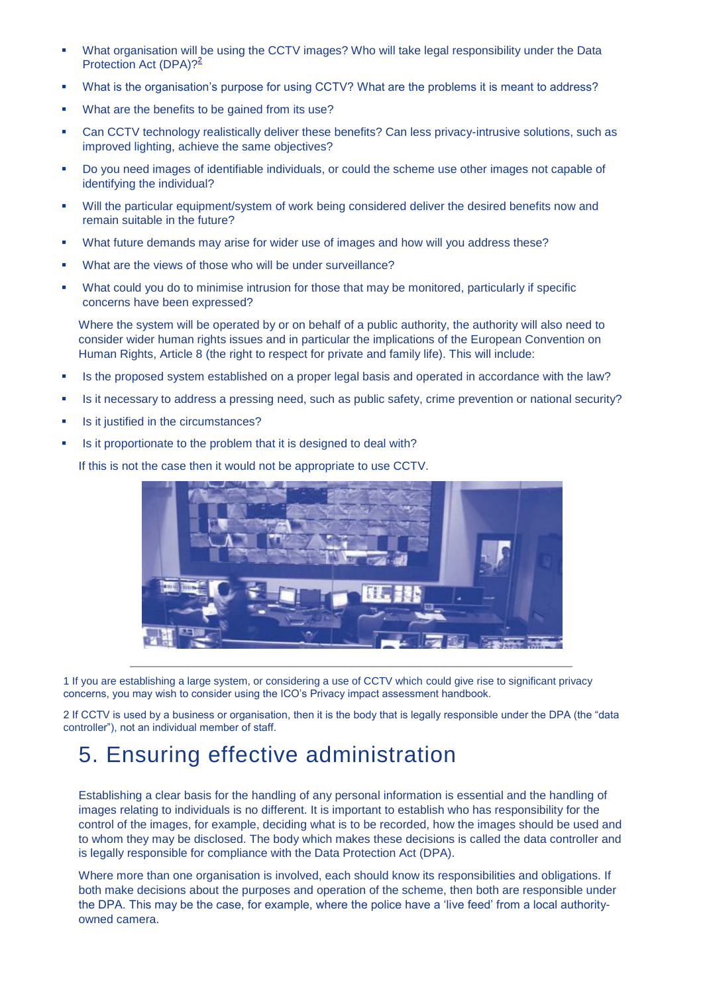- What organisation will be using the CCTV images? Who will take legal responsibility under the Data Protection Act (DPA)?<sup>[2](http://www.ico.gov.uk/upload/documents/cctv_code_of_practice_html/4_deciding.html#2)</sup>
- What is the organisation's purpose for using CCTV? What are the problems it is meant to address?
- What are the benefits to be gained from its use?
- Can CCTV technology realistically deliver these benefits? Can less privacy-intrusive solutions, such as improved lighting, achieve the same objectives?
- Do you need images of identifiable individuals, or could the scheme use other images not capable of identifying the individual?
- Will the particular equipment/system of work being considered deliver the desired benefits now and remain suitable in the future?
- What future demands may arise for wider use of images and how will you address these?
- What are the views of those who will be under surveillance?
- What could you do to minimise intrusion for those that may be monitored, particularly if specific concerns have been expressed?

Where the system will be operated by or on behalf of a public authority, the authority will also need to consider wider human rights issues and in particular the implications of the European Convention on Human Rights, Article 8 (the right to respect for private and family life). This will include:

- Is the proposed system established on a proper legal basis and operated in accordance with the law?
- Is it necessary to address a pressing need, such as public safety, crime prevention or national security?
- Is it justified in the circumstances?
- Is it proportionate to the problem that it is designed to deal with?

If this is not the case then it would not be appropriate to use CCTV.



1 If you are establishing a large system, or considering a use of CCTV which could give rise to significant privacy concerns, you may wish to consider using the ICO's Privacy impact assessment handbook.

2 If CCTV is used by a business or organisation, then it is the body that is legally responsible under the DPA (the "data controller"), not an individual member of staff.

## 5. Ensuring effective administration

Establishing a clear basis for the handling of any personal information is essential and the handling of images relating to individuals is no different. It is important to establish who has responsibility for the control of the images, for example, deciding what is to be recorded, how the images should be used and to whom they may be disclosed. The body which makes these decisions is called the data controller and is legally responsible for compliance with the Data Protection Act (DPA).

Where more than one organisation is involved, each should know its responsibilities and obligations. If both make decisions about the purposes and operation of the scheme, then both are responsible under the DPA. This may be the case, for example, where the police have a 'live feed' from a local authorityowned camera.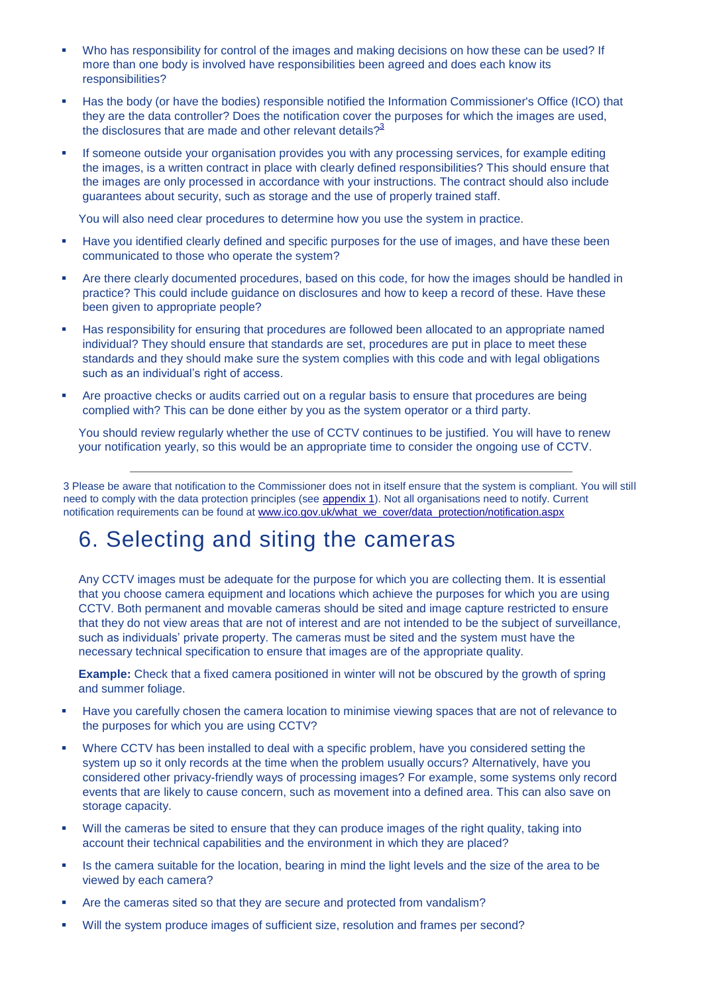- Who has responsibility for control of the images and making decisions on how these can be used? If more than one body is involved have responsibilities been agreed and does each know its responsibilities?
- Has the body (or have the bodies) responsible notified the Information Commissioner's Office (ICO) that they are the data controller? Does the notification cover the purposes for which the images are used, the disclosures that are made and other relevant details? $3^3$  $3^3$
- If someone outside your organisation provides you with any processing services, for example editing the images, is a written contract in place with clearly defined responsibilities? This should ensure that the images are only processed in accordance with your instructions. The contract should also include guarantees about security, such as storage and the use of properly trained staff.

You will also need clear procedures to determine how you use the system in practice.

- Have you identified clearly defined and specific purposes for the use of images, and have these been communicated to those who operate the system?
- Are there clearly documented procedures, based on this code, for how the images should be handled in practice? This could include guidance on disclosures and how to keep a record of these. Have these been given to appropriate people?
- Has responsibility for ensuring that procedures are followed been allocated to an appropriate named individual? They should ensure that standards are set, procedures are put in place to meet these standards and they should make sure the system complies with this code and with legal obligations such as an individual's right of access.
- Are proactive checks or audits carried out on a regular basis to ensure that procedures are being complied with? This can be done either by you as the system operator or a third party.

You should review regularly whether the use of CCTV continues to be justified. You will have to renew your notification yearly, so this would be an appropriate time to consider the ongoing use of CCTV.

3 Please be aware that notification to the Commissioner does not in itself ensure that the system is compliant. You will still need to comply with the data protection principles (see [appendix 1\)](http://www.ico.gov.uk/upload/documents/cctv_code_of_practice_html/appendix1.html). Not all organisations need to notify. Current notification requirements can be found a[t www.ico.gov.uk/what\\_we\\_cover/data\\_protection/notification.aspx](http://www.ico.gov.uk/what_we_cover/data_protection/notification.aspx)

# 6. Selecting and siting the cameras

Any CCTV images must be adequate for the purpose for which you are collecting them. It is essential that you choose camera equipment and locations which achieve the purposes for which you are using CCTV. Both permanent and movable cameras should be sited and image capture restricted to ensure that they do not view areas that are not of interest and are not intended to be the subject of surveillance, such as individuals' private property. The cameras must be sited and the system must have the necessary technical specification to ensure that images are of the appropriate quality.

**Example:** Check that a fixed camera positioned in winter will not be obscured by the growth of spring and summer foliage.

- Have you carefully chosen the camera location to minimise viewing spaces that are not of relevance to the purposes for which you are using CCTV?
- Where CCTV has been installed to deal with a specific problem, have you considered setting the system up so it only records at the time when the problem usually occurs? Alternatively, have you considered other privacy-friendly ways of processing images? For example, some systems only record events that are likely to cause concern, such as movement into a defined area. This can also save on storage capacity.
- Will the cameras be sited to ensure that they can produce images of the right quality, taking into account their technical capabilities and the environment in which they are placed?
- Is the camera suitable for the location, bearing in mind the light levels and the size of the area to be viewed by each camera?
- Are the cameras sited so that they are secure and protected from vandalism?
- Will the system produce images of sufficient size, resolution and frames per second?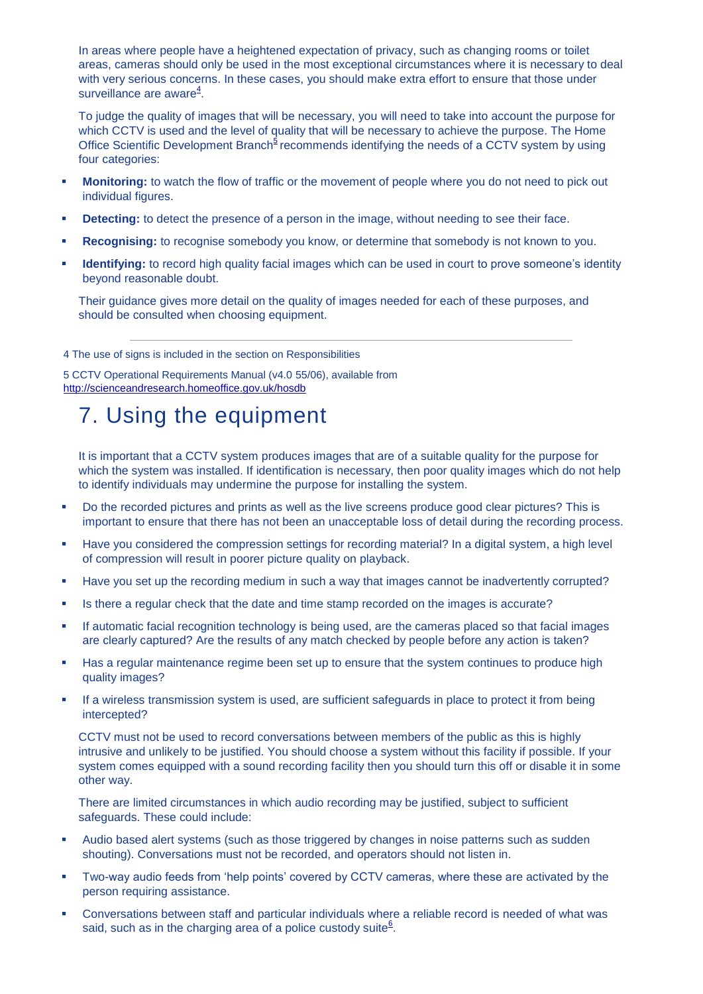In areas where people have a heightened expectation of privacy, such as changing rooms or toilet areas, cameras should only be used in the most exceptional circumstances where it is necessary to deal with very serious concerns. In these cases, you should make extra effort to ensure that those under surv[e](http://www.ico.gov.uk/upload/documents/cctv_code_of_practice_html/6_selecting.html#4)illance are aware<sup>4</sup>.

To judge the quality of images that will be necessary, you will need to take into account the purpose for which CCTV is used and the level of quality that will be necessary to achieve the purpose. The Home Office Scientific Development Branc[h](http://www.ico.gov.uk/upload/documents/cctv_code_of_practice_html/6_selecting.html#5)<sup>5</sup> recommends identifying the needs of a CCTV system by using four categories:

- **Monitoring:** to watch the flow of traffic or the movement of people where you do not need to pick out individual figures.
- **Detecting:** to detect the presence of a person in the image, without needing to see their face.
- **Recognising:** to recognise somebody you know, or determine that somebody is not known to you.
- **Identifying:** to record high quality facial images which can be used in court to prove someone's identity beyond reasonable doubt.

Their guidance gives more detail on the quality of images needed for each of these purposes, and should be consulted when choosing equipment.

4 The use of signs is included in the section on Responsibilities

5 CCTV Operational Requirements Manual (v4.0 55/06), available from <http://scienceandresearch.homeoffice.gov.uk/hosdb>

# 7. Using the equipment

It is important that a CCTV system produces images that are of a suitable quality for the purpose for which the system was installed. If identification is necessary, then poor quality images which do not help to identify individuals may undermine the purpose for installing the system.

- Do the recorded pictures and prints as well as the live screens produce good clear pictures? This is important to ensure that there has not been an unacceptable loss of detail during the recording process.
- Have you considered the compression settings for recording material? In a digital system, a high level of compression will result in poorer picture quality on playback.
- Have you set up the recording medium in such a way that images cannot be inadvertently corrupted?
- Is there a regular check that the date and time stamp recorded on the images is accurate?
- If automatic facial recognition technology is being used, are the cameras placed so that facial images are clearly captured? Are the results of any match checked by people before any action is taken?
- Has a regular maintenance regime been set up to ensure that the system continues to produce high quality images?
- If a wireless transmission system is used, are sufficient safeguards in place to protect it from being intercepted?

CCTV must not be used to record conversations between members of the public as this is highly intrusive and unlikely to be justified. You should choose a system without this facility if possible. If your system comes equipped with a sound recording facility then you should turn this off or disable it in some other way.

There are limited circumstances in which audio recording may be justified, subject to sufficient safeguards. These could include:

- Audio based alert systems (such as those triggered by changes in noise patterns such as sudden shouting). Conversations must not be recorded, and operators should not listen in.
- Two-way audio feeds from 'help points' covered by CCTV cameras, where these are activated by the person requiring assistance.
- Conversations between staff and particular individuals where a reliable record is needed of what was said, such as in the charging area of a police custody suite $6$ [.](http://www.ico.gov.uk/upload/documents/cctv_code_of_practice_html/7_using.html#6)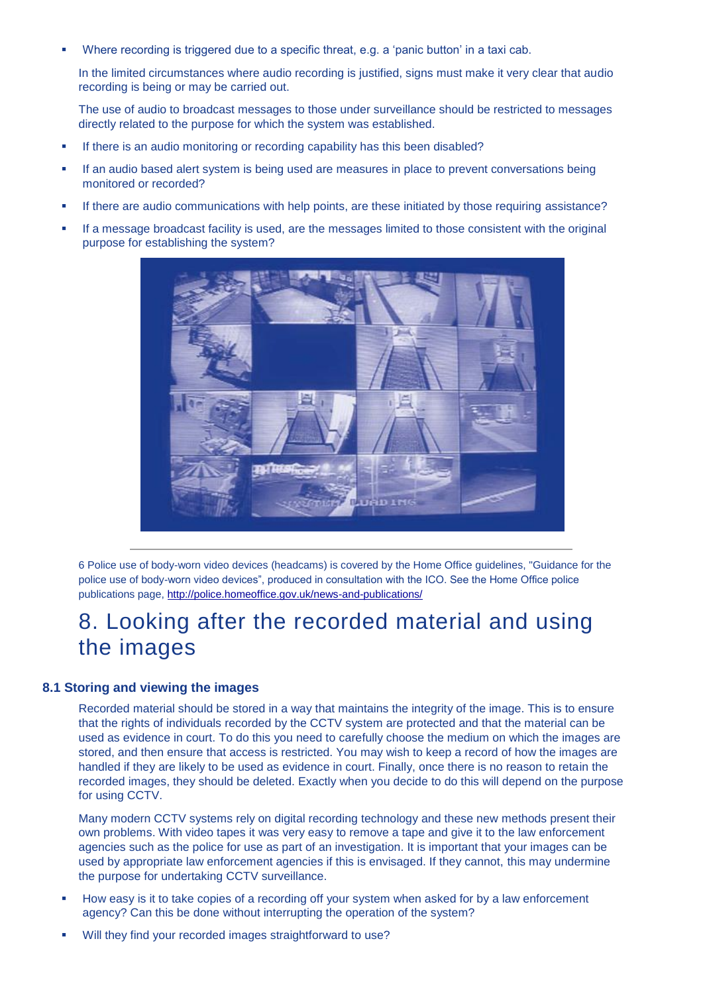Where recording is triggered due to a specific threat, e.g. a 'panic button' in a taxi cab.

In the limited circumstances where audio recording is justified, signs must make it very clear that audio recording is being or may be carried out.

The use of audio to broadcast messages to those under surveillance should be restricted to messages directly related to the purpose for which the system was established.

- If there is an audio monitoring or recording capability has this been disabled?
- If an audio based alert system is being used are measures in place to prevent conversations being monitored or recorded?
- If there are audio communications with help points, are these initiated by those requiring assistance?
- If a message broadcast facility is used, are the messages limited to those consistent with the original purpose for establishing the system?



6 Police use of body-worn video devices (headcams) is covered by the Home Office guidelines, "Guidance for the police use of body-worn video devices", produced in consultation with the ICO. See the Home Office police publications page[, http://police.homeoffice.gov.uk/news-and-publications/](http://police.homeoffice.gov.uk/news-and-publications/)

# 8. Looking after the recorded material and using the images

### **8.1 Storing and viewing the images**

Recorded material should be stored in a way that maintains the integrity of the image. This is to ensure that the rights of individuals recorded by the CCTV system are protected and that the material can be used as evidence in court. To do this you need to carefully choose the medium on which the images are stored, and then ensure that access is restricted. You may wish to keep a record of how the images are handled if they are likely to be used as evidence in court. Finally, once there is no reason to retain the recorded images, they should be deleted. Exactly when you decide to do this will depend on the purpose for using CCTV.

Many modern CCTV systems rely on digital recording technology and these new methods present their own problems. With video tapes it was very easy to remove a tape and give it to the law enforcement agencies such as the police for use as part of an investigation. It is important that your images can be used by appropriate law enforcement agencies if this is envisaged. If they cannot, this may undermine the purpose for undertaking CCTV surveillance.

- How easy is it to take copies of a recording off your system when asked for by a law enforcement agency? Can this be done without interrupting the operation of the system?
- Will they find your recorded images straightforward to use?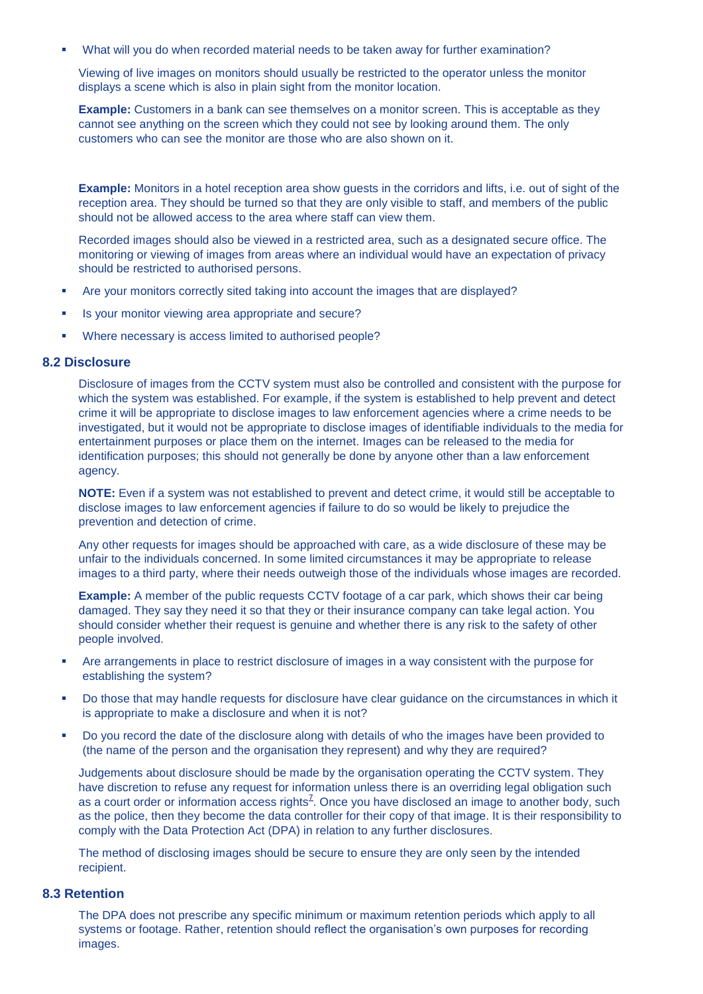What will you do when recorded material needs to be taken away for further examination?

Viewing of live images on monitors should usually be restricted to the operator unless the monitor displays a scene which is also in plain sight from the monitor location.

**Example:** Customers in a bank can see themselves on a monitor screen. This is acceptable as they cannot see anything on the screen which they could not see by looking around them. The only customers who can see the monitor are those who are also shown on it.

**Example:** Monitors in a hotel reception area show guests in the corridors and lifts, i.e. out of sight of the reception area. They should be turned so that they are only visible to staff, and members of the public should not be allowed access to the area where staff can view them.

Recorded images should also be viewed in a restricted area, such as a designated secure office. The monitoring or viewing of images from areas where an individual would have an expectation of privacy should be restricted to authorised persons.

- Are your monitors correctly sited taking into account the images that are displayed?
- Is your monitor viewing area appropriate and secure?
- Where necessary is access limited to authorised people?

#### **8.2 Disclosure**

Disclosure of images from the CCTV system must also be controlled and consistent with the purpose for which the system was established. For example, if the system is established to help prevent and detect crime it will be appropriate to disclose images to law enforcement agencies where a crime needs to be investigated, but it would not be appropriate to disclose images of identifiable individuals to the media for entertainment purposes or place them on the internet. Images can be released to the media for identification purposes; this should not generally be done by anyone other than a law enforcement agency.

**NOTE:** Even if a system was not established to prevent and detect crime, it would still be acceptable to disclose images to law enforcement agencies if failure to do so would be likely to prejudice the prevention and detection of crime.

Any other requests for images should be approached with care, as a wide disclosure of these may be unfair to the individuals concerned. In some limited circumstances it may be appropriate to release images to a third party, where their needs outweigh those of the individuals whose images are recorded.

**Example:** A member of the public requests CCTV footage of a car park, which shows their car being damaged. They say they need it so that they or their insurance company can take legal action. You should consider whether their request is genuine and whether there is any risk to the safety of other people involved.

- Are arrangements in place to restrict disclosure of images in a way consistent with the purpose for establishing the system?
- Do those that may handle requests for disclosure have clear guidance on the circumstances in which it is appropriate to make a disclosure and when it is not?
- Do you record the date of the disclosure along with details of who the images have been provided to (the name of the person and the organisation they represent) and why they are required?

Judgements about disclosure should be made by the organisation operating the CCTV system. They have discretion to refuse any request for information unless there is an overriding legal obligation such as a court order or information access rights<sup> $Z$ </sup>[.](http://www.ico.gov.uk/upload/documents/cctv_code_of_practice_html/8_looking.html#7) Once you have disclosed an image to another body, such as the police, then they become the data controller for their copy of that image. It is their responsibility to comply with the Data Protection Act (DPA) in relation to any further disclosures.

The method of disclosing images should be secure to ensure they are only seen by the intended recipient.

### **8.3 Retention**

The DPA does not prescribe any specific minimum or maximum retention periods which apply to all systems or footage. Rather, retention should reflect the organisation's own purposes for recording images.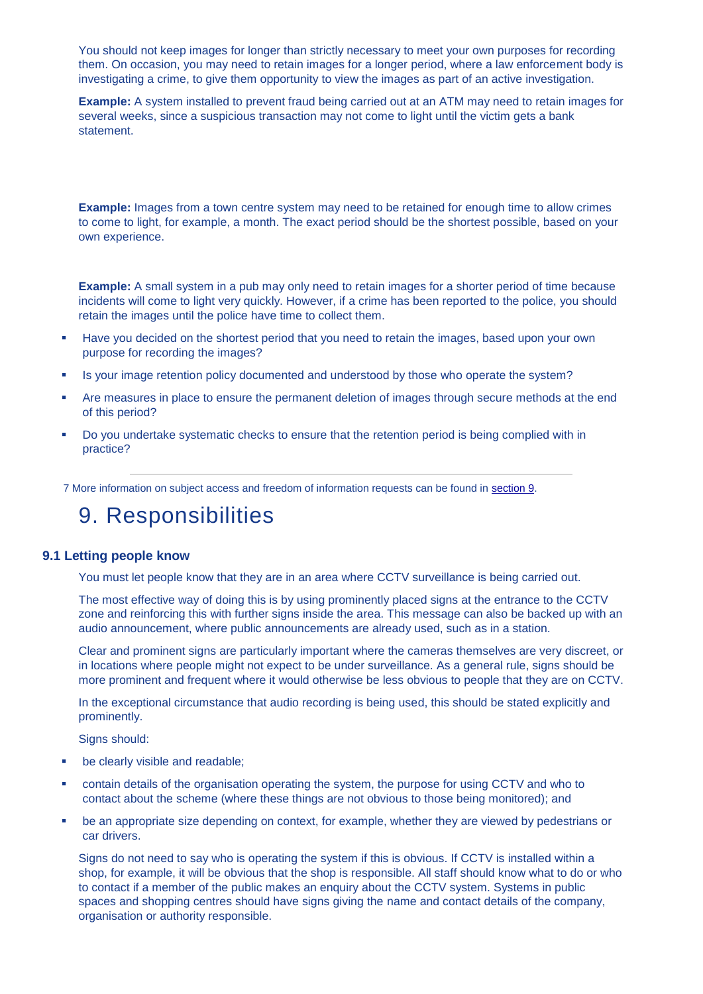You should not keep images for longer than strictly necessary to meet your own purposes for recording them. On occasion, you may need to retain images for a longer period, where a law enforcement body is investigating a crime, to give them opportunity to view the images as part of an active investigation.

**Example:** A system installed to prevent fraud being carried out at an ATM may need to retain images for several weeks, since a suspicious transaction may not come to light until the victim gets a bank statement.

#### **Example:** Images from a town centre system may need to be retained for enough time to allow crimes to come to light, for example, a month. The exact period should be the shortest possible, based on your own experience.

**Example:** A small system in a pub may only need to retain images for a shorter period of time because incidents will come to light very quickly. However, if a crime has been reported to the police, you should retain the images until the police have time to collect them.

- Have you decided on the shortest period that you need to retain the images, based upon your own purpose for recording the images?
- Is your image retention policy documented and understood by those who operate the system?
- Are measures in place to ensure the permanent deletion of images through secure methods at the end of this period?
- Do you undertake systematic checks to ensure that the retention period is being complied with in practice?

7 More information on subject access and freedom of information requests can be found in [section 9.](http://www.ico.gov.uk/upload/documents/cctv_code_of_practice_html/9_responsibilities.html)

### 9. Responsibilities

#### **9.1 Letting people know**

You must let people know that they are in an area where CCTV surveillance is being carried out.

The most effective way of doing this is by using prominently placed signs at the entrance to the CCTV zone and reinforcing this with further signs inside the area. This message can also be backed up with an audio announcement, where public announcements are already used, such as in a station.

Clear and prominent signs are particularly important where the cameras themselves are very discreet, or in locations where people might not expect to be under surveillance. As a general rule, signs should be more prominent and frequent where it would otherwise be less obvious to people that they are on CCTV.

In the exceptional circumstance that audio recording is being used, this should be stated explicitly and prominently.

Signs should:

- be clearly visible and readable;
- contain details of the organisation operating the system, the purpose for using CCTV and who to contact about the scheme (where these things are not obvious to those being monitored); and
- be an appropriate size depending on context, for example, whether they are viewed by pedestrians or car drivers.

Signs do not need to say who is operating the system if this is obvious. If CCTV is installed within a shop, for example, it will be obvious that the shop is responsible. All staff should know what to do or who to contact if a member of the public makes an enquiry about the CCTV system. Systems in public spaces and shopping centres should have signs giving the name and contact details of the company, organisation or authority responsible.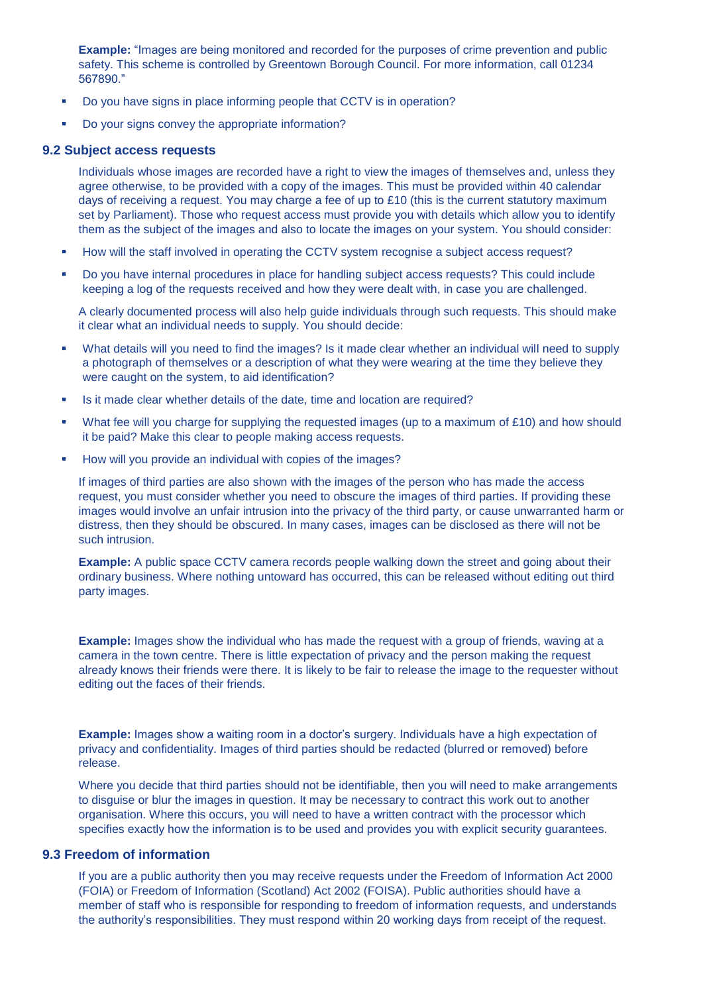**Example:** "Images are being monitored and recorded for the purposes of crime prevention and public safety. This scheme is controlled by Greentown Borough Council. For more information, call 01234 567890."

- Do you have signs in place informing people that CCTV is in operation?
- Do your signs convey the appropriate information?

#### **9.2 Subject access requests**

Individuals whose images are recorded have a right to view the images of themselves and, unless they agree otherwise, to be provided with a copy of the images. This must be provided within 40 calendar days of receiving a request. You may charge a fee of up to £10 (this is the current statutory maximum set by Parliament). Those who request access must provide you with details which allow you to identify them as the subject of the images and also to locate the images on your system. You should consider:

- How will the staff involved in operating the CCTV system recognise a subject access request?
- Do you have internal procedures in place for handling subject access requests? This could include keeping a log of the requests received and how they were dealt with, in case you are challenged.

A clearly documented process will also help guide individuals through such requests. This should make it clear what an individual needs to supply. You should decide:

- What details will you need to find the images? Is it made clear whether an individual will need to supply a photograph of themselves or a description of what they were wearing at the time they believe they were caught on the system, to aid identification?
- Is it made clear whether details of the date, time and location are required?
- What fee will you charge for supplying the requested images (up to a maximum of £10) and how should it be paid? Make this clear to people making access requests.
- How will you provide an individual with copies of the images?

If images of third parties are also shown with the images of the person who has made the access request, you must consider whether you need to obscure the images of third parties. If providing these images would involve an unfair intrusion into the privacy of the third party, or cause unwarranted harm or distress, then they should be obscured. In many cases, images can be disclosed as there will not be such intrusion.

**Example:** A public space CCTV camera records people walking down the street and going about their ordinary business. Where nothing untoward has occurred, this can be released without editing out third party images.

**Example:** Images show the individual who has made the request with a group of friends, waving at a camera in the town centre. There is little expectation of privacy and the person making the request already knows their friends were there. It is likely to be fair to release the image to the requester without editing out the faces of their friends.

**Example:** Images show a waiting room in a doctor's surgery. Individuals have a high expectation of privacy and confidentiality. Images of third parties should be redacted (blurred or removed) before release.

Where you decide that third parties should not be identifiable, then you will need to make arrangements to disguise or blur the images in question. It may be necessary to contract this work out to another organisation. Where this occurs, you will need to have a written contract with the processor which specifies exactly how the information is to be used and provides you with explicit security guarantees.

### **9.3 Freedom of information**

If you are a public authority then you may receive requests under the Freedom of Information Act 2000 (FOIA) or Freedom of Information (Scotland) Act 2002 (FOISA). Public authorities should have a member of staff who is responsible for responding to freedom of information requests, and understands the authority's responsibilities. They must respond within 20 working days from receipt of the request.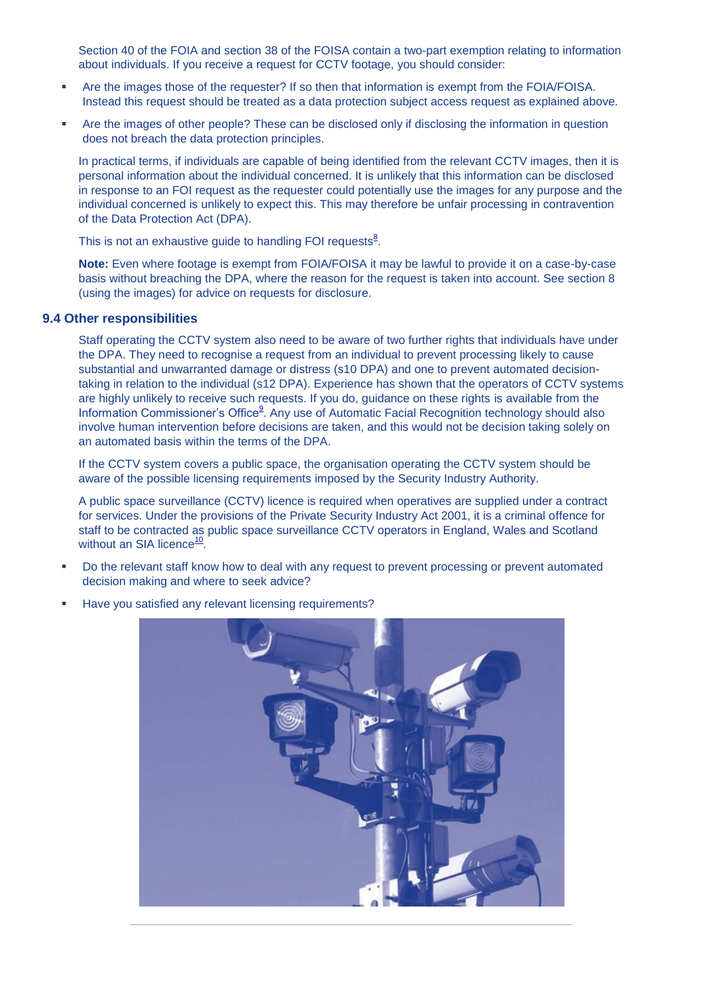Section 40 of the FOIA and section 38 of the FOISA contain a two-part exemption relating to information about individuals. If you receive a request for CCTV footage, you should consider:

- Are the images those of the requester? If so then that information is exempt from the FOIA/FOISA. Instead this request should be treated as a data protection subject access request as explained above.
- Are the images of other people? These can be disclosed only if disclosing the information in question does not breach the data protection principles.

In practical terms, if individuals are capable of being identified from the relevant CCTV images, then it is personal information about the individual concerned. It is unlikely that this information can be disclosed in response to an FOI request as the requester could potentially use the images for any purpose and the individual concerned is unlikely to expect this. This may therefore be unfair processing in contravention of the Data Protection Act (DPA).

Thi[s](http://www.ico.gov.uk/upload/documents/cctv_code_of_practice_html/9_responsibilities.html#8) is not an exhaustive guide to handling FOI requests $8$ .

**Note:** Even where footage is exempt from FOIA/FOISA it may be lawful to provide it on a case-by-case basis without breaching the DPA, where the reason for the request is taken into account. See section 8 (using the images) for advice on requests for disclosure.

#### **9.4 Other responsibilities**

Staff operating the CCTV system also need to be aware of two further rights that individuals have under the DPA. They need to recognise a request from an individual to prevent processing likely to cause substantial and unwarranted damage or distress (s10 DPA) and one to prevent automated decisiontaking in relation to the individual (s12 DPA). Experience has shown that the operators of CCTV systems are highly unlikely to receive such requests. If you do, guidance on these rights is available from the Information Commission[e](http://www.ico.gov.uk/upload/documents/cctv_code_of_practice_html/9_responsibilities.html#9)r's Office<sup>9</sup>. Any use of Automatic Facial Recognition technology should also involve human intervention before decisions are taken, and this would not be decision taking solely on an automated basis within the terms of the DPA.

If the CCTV system covers a public space, the organisation operating the CCTV system should be aware of the possible licensing requirements imposed by the Security Industry Authority.

A public space surveillance (CCTV) licence is required when operatives are supplied under a contract for services. Under the provisions of the Private Security Industry Act 2001, it is a criminal offence for staff to be contracted as public space surveillance CCTV operators in England, Wales and Scotland without an SIA licence<sup>[10](http://www.ico.gov.uk/upload/documents/cctv_code_of_practice_html/9_responsibilities.html#10)</sup>.

- Do the relevant staff know how to deal with any request to prevent processing or prevent automated decision making and where to seek advice?
	-
- Have you satisfied any relevant licensing requirements?

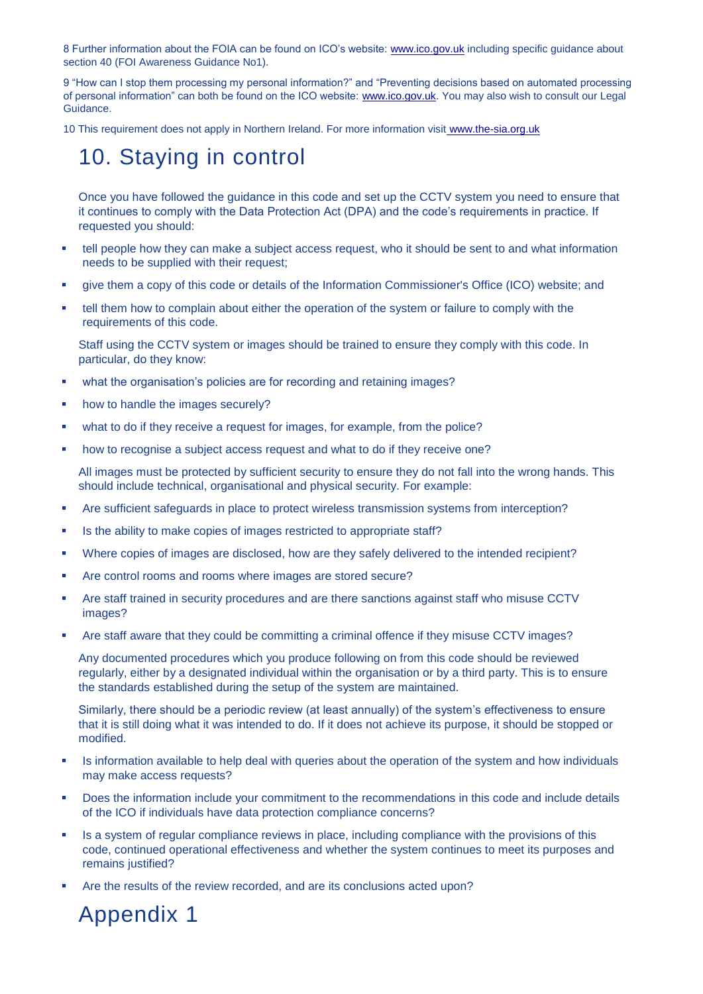8 Further information about the FOIA can be found on ICO's website: [www.ico.gov.uk](http://www.ico.gov.uk/) including specific guidance about section 40 (FOI Awareness Guidance No1).

9 "How can I stop them processing my personal information?" and "Preventing decisions based on automated processing of personal information" can both be found on the ICO website: [www.ico.gov.uk.](http://www.ico.gov.uk/) You may also wish to consult our Legal Guidance.

10 This requirement does not apply in Northern Ireland. For more information visit [www.the-sia.org.uk](http://www.the-sia.org.uk/)

## 10. Staying in control

Once you have followed the guidance in this code and set up the CCTV system you need to ensure that it continues to comply with the Data Protection Act (DPA) and the code's requirements in practice. If requested you should:

- tell people how they can make a subject access request, who it should be sent to and what information needs to be supplied with their request;
- give them a copy of this code or details of the Information Commissioner's Office (ICO) website; and
- tell them how to complain about either the operation of the system or failure to comply with the requirements of this code.

Staff using the CCTV system or images should be trained to ensure they comply with this code. In particular, do they know:

- what the organisation's policies are for recording and retaining images?
- how to handle the images securely?
- what to do if they receive a request for images, for example, from the police?
- how to recognise a subject access request and what to do if they receive one?

All images must be protected by sufficient security to ensure they do not fall into the wrong hands. This should include technical, organisational and physical security. For example:

- Are sufficient safeguards in place to protect wireless transmission systems from interception?
- Is the ability to make copies of images restricted to appropriate staff?
- Where copies of images are disclosed, how are they safely delivered to the intended recipient?
- Are control rooms and rooms where images are stored secure?
- Are staff trained in security procedures and are there sanctions against staff who misuse CCTV images?
- Are staff aware that they could be committing a criminal offence if they misuse CCTV images?

Any documented procedures which you produce following on from this code should be reviewed regularly, either by a designated individual within the organisation or by a third party. This is to ensure the standards established during the setup of the system are maintained.

Similarly, there should be a periodic review (at least annually) of the system's effectiveness to ensure that it is still doing what it was intended to do. If it does not achieve its purpose, it should be stopped or modified.

- Is information available to help deal with queries about the operation of the system and how individuals may make access requests?
- **Does the information include your commitment to the recommendations in this code and include details** of the ICO if individuals have data protection compliance concerns?
- Is a system of regular compliance reviews in place, including compliance with the provisions of this code, continued operational effectiveness and whether the system continues to meet its purposes and remains justified?
- Are the results of the review recorded, and are its conclusions acted upon?

Appendix 1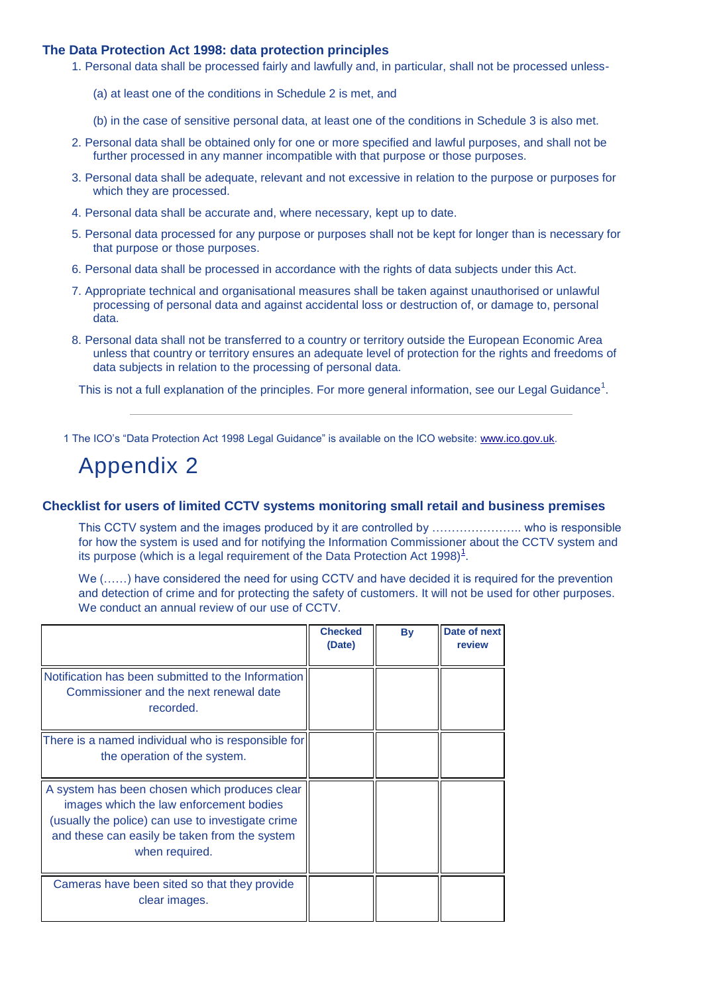### **The Data Protection Act 1998: data protection principles**

- 1. Personal data shall be processed fairly and lawfully and, in particular, shall not be processed unless-
	- (a) at least one of the conditions in Schedule 2 is met, and
	- (b) in the case of sensitive personal data, at least one of the conditions in Schedule 3 is also met.
- 2. Personal data shall be obtained only for one or more specified and lawful purposes, and shall not be further processed in any manner incompatible with that purpose or those purposes.
- 3. Personal data shall be adequate, relevant and not excessive in relation to the purpose or purposes for which they are processed.
- 4. Personal data shall be accurate and, where necessary, kept up to date.
- 5. Personal data processed for any purpose or purposes shall not be kept for longer than is necessary for that purpose or those purposes.
- 6. Personal data shall be processed in accordance with the rights of data subjects under this Act.
- 7. Appropriate technical and organisational measures shall be taken against unauthorised or unlawful processing of personal data and against accidental loss or destruction of, or damage to, personal data.
- 8. Personal data shall not be transferred to a country or territory outside the European Economic Area unless that country or territory ensures an adequate level of protection for the rights and freedoms of data subjects in relation to the processing of personal data.

This is not a full explanation of the principles. For more general information, see our Legal Guidance<sup>1</sup>.

1 The ICO's "Data Protection Act 1998 Legal Guidance" is available on the ICO website: [www.ico.gov.uk.](http://www.ico.gov.uk/)

## Appendix 2

#### **Checklist for users of limited CCTV systems monitoring small retail and business premises**

This CCTV system and the images produced by it are controlled by ………………….. who is responsible for how the system is used and for notifying the Information Commissioner about the CCTV system and its purpose (which is a legal requirement of the Data Protection Act 1998[\)](http://www.ico.gov.uk/upload/documents/cctv_code_of_practice_html/appendix2.html#app1) $<sup>1</sup>$ .</sup>

We (……) have considered the need for using CCTV and have decided it is required for the prevention and detection of crime and for protecting the safety of customers. It will not be used for other purposes. We conduct an annual review of our use of CCTV.

|                                                                                                                                                                                                                  | <b>Checked</b><br>(Date) | <b>By</b> | Date of next<br>review |
|------------------------------------------------------------------------------------------------------------------------------------------------------------------------------------------------------------------|--------------------------|-----------|------------------------|
| Notification has been submitted to the Information<br>Commissioner and the next renewal date<br>recorded.                                                                                                        |                          |           |                        |
| There is a named individual who is responsible for<br>the operation of the system.                                                                                                                               |                          |           |                        |
| A system has been chosen which produces clear<br>images which the law enforcement bodies<br>(usually the police) can use to investigate crime<br>and these can easily be taken from the system<br>when required. |                          |           |                        |
| Cameras have been sited so that they provide<br>clear images.                                                                                                                                                    |                          |           |                        |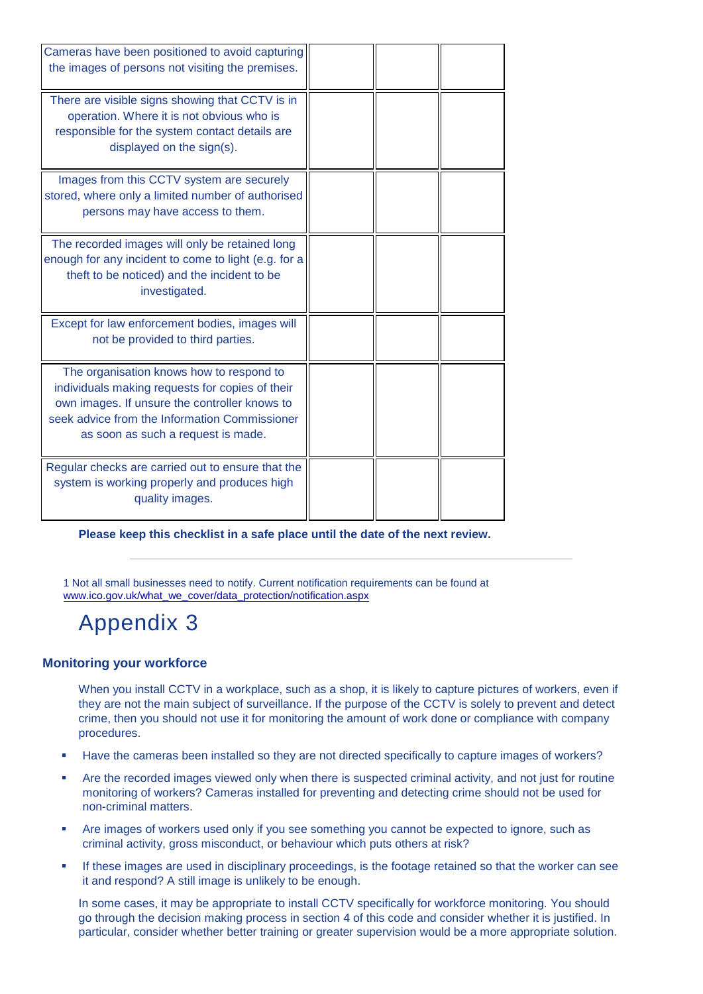| Cameras have been positioned to avoid capturing<br>the images of persons not visiting the premises.                                                                                                                                 |  |  |
|-------------------------------------------------------------------------------------------------------------------------------------------------------------------------------------------------------------------------------------|--|--|
| There are visible signs showing that CCTV is in<br>operation. Where it is not obvious who is<br>responsible for the system contact details are<br>displayed on the sign(s).                                                         |  |  |
| Images from this CCTV system are securely<br>stored, where only a limited number of authorised<br>persons may have access to them.                                                                                                  |  |  |
| The recorded images will only be retained long<br>enough for any incident to come to light (e.g. for a<br>theft to be noticed) and the incident to be<br>investigated.                                                              |  |  |
| Except for law enforcement bodies, images will<br>not be provided to third parties.                                                                                                                                                 |  |  |
| The organisation knows how to respond to<br>individuals making requests for copies of their<br>own images. If unsure the controller knows to<br>seek advice from the Information Commissioner<br>as soon as such a request is made. |  |  |
| Regular checks are carried out to ensure that the<br>system is working properly and produces high<br>quality images.                                                                                                                |  |  |

**Please keep this checklist in a safe place until the date of the next review.** 

1 Not all small businesses need to notify. Current notification requirements can be found at [www.ico.gov.uk/what\\_we\\_cover/data\\_protection/notification.aspx](http://www.ico.gov.uk/what_we_cover/data_protection/notification.aspx) 

# Appendix 3

### **Monitoring your workforce**

When you install CCTV in a workplace, such as a shop, it is likely to capture pictures of workers, even if they are not the main subject of surveillance. If the purpose of the CCTV is solely to prevent and detect crime, then you should not use it for monitoring the amount of work done or compliance with company procedures.

- Have the cameras been installed so they are not directed specifically to capture images of workers?
- Are the recorded images viewed only when there is suspected criminal activity, and not just for routine monitoring of workers? Cameras installed for preventing and detecting crime should not be used for non-criminal matters.
- Are images of workers used only if you see something you cannot be expected to ignore, such as criminal activity, gross misconduct, or behaviour which puts others at risk?
- If these images are used in disciplinary proceedings, is the footage retained so that the worker can see it and respond? A still image is unlikely to be enough.

In some cases, it may be appropriate to install CCTV specifically for workforce monitoring. You should go through the decision making process in section 4 of this code and consider whether it is justified. In particular, consider whether better training or greater supervision would be a more appropriate solution.